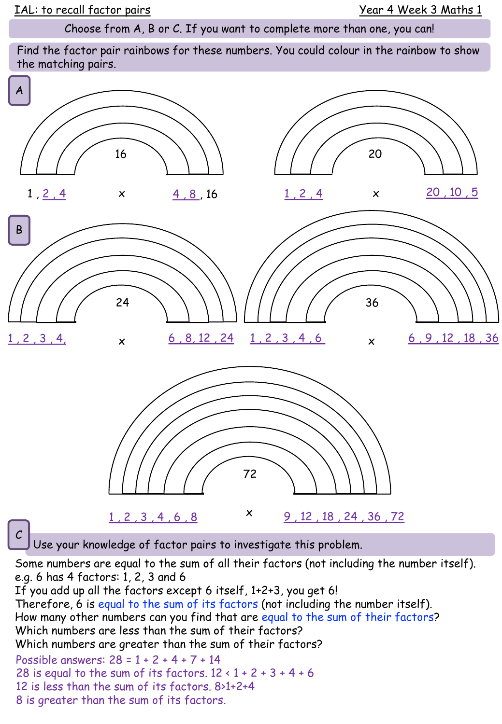Choose from A, B or C. If you want to complete more than one, you can!

Find the factor pair rainbows for these numbers. You could colour in the rainbow to show the matching pairs.



Some numbers are equal to the sum of all their factors (not including the number itself). e.g. 6 has 4 factors: 1, 2, 3 and 6

If you add up all the factors except 6 itself, 1+2+3, you get 6! Therefore, 6 is equal to the sum of its factors (not including the number itself). How many other numbers can you find that are equal to the sum of their factors? Which numbers are less than the sum of their factors? Which numbers are greater than the sum of their factors? Possible answers: 28 = 1 + 2 + 4 + 7 + 14 28 is equal to the sum of its factors.  $12 \times 1 + 2 + 3 + 4 + 6$ 12 is less than the sum of its factors. 8>1+2+4 8 is greater than the sum of its factors.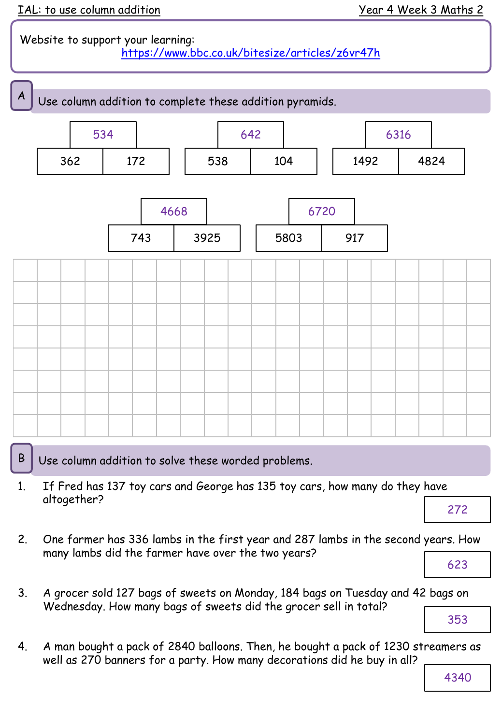## Website to support your learning: <https://www.bbc.co.uk/bitesize/articles/z6vr47h>



 $\mathsf{B}$  Use column addition to solve these worded problems.

- 1. If Fred has 137 toy cars and George has 135 toy cars, how many do they have altogether?
	- 272
- 2. One farmer has 336 lambs in the first year and 287 lambs in the second years. How many lambs did the farmer have over the two years? 623
- 3. A grocer sold 127 bags of sweets on Monday, 184 bags on Tuesday and 42 bags on Wednesday. How many bags of sweets did the grocer sell in total?

353

4. A man bought a pack of 2840 balloons. Then, he bought a pack of 1230 streamers as well as 270 banners for a party. How many decorations did he buy in all?

4340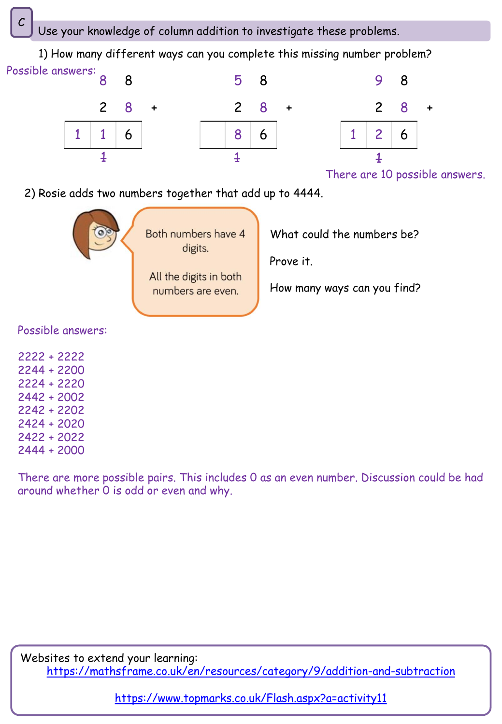Use your knowledge of column addition to investigate these problems.

5 8 1) How many different ways can you complete this missing number problem? 8 8 Possible answers:







There are 10 possible answers.

2) Rosie adds two numbers together that add up to 4444.



Possible answers:

There are more possible pairs. This includes 0 as an even number. Discussion could be had around whether 0 is odd or even and why.

Websites to extend your learning: <https://mathsframe.co.uk/en/resources/category/9/addition-and-subtraction>

<https://www.topmarks.co.uk/Flash.aspx?a=activity11>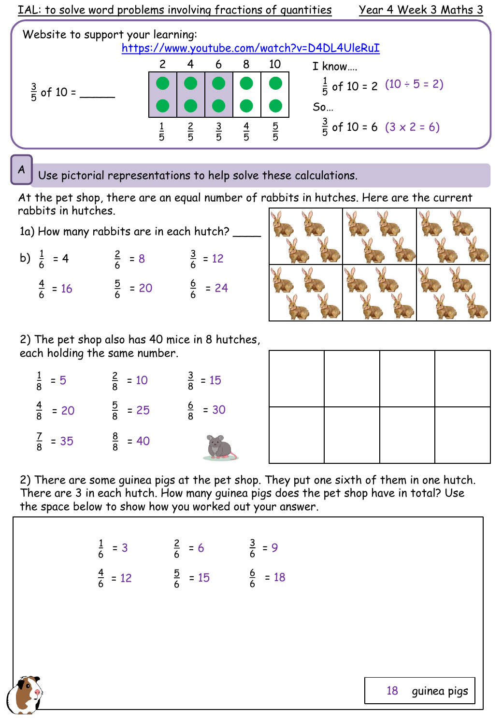

Use pictorial representations to help solve these calculations.

At the pet shop, there are an equal number of rabbits in hutches. Here are the current rabbits in hutches.

1a) How many rabbits are in each hutch? \_

| b) $\frac{1}{6}$ = 4 | $\frac{2}{6}$ = 8  | $\frac{3}{6}$ = 12 |
|----------------------|--------------------|--------------------|
| $\frac{4}{6}$ = 16   | $\frac{5}{6}$ = 20 | $\frac{6}{6}$ = 24 |

2) The pet shop also has 40 mice in 8 hutches, each holding the same number.

| $\frac{1}{8}$ = 5  | $\frac{2}{8}$ = 10 | $\frac{3}{8}$ = 15         |
|--------------------|--------------------|----------------------------|
| $\frac{4}{8}$ = 20 | $\frac{5}{8}$ = 25 | $\frac{6}{8}$ = 30         |
| $\frac{7}{8}$ = 35 | $\frac{8}{8}$ = 40 | $\left(\frac{e}{e}\right)$ |

2) There are some guinea pigs at the pet shop. They put one sixth of them in one hutch. There are 3 in each hutch. How many guinea pigs does the pet shop have in total? Use the space below to show how you worked out your answer.

| $\frac{1}{6}$ = 3  | $\frac{2}{6}$ = 6  | $\frac{3}{6}$ = 9  |
|--------------------|--------------------|--------------------|
| $\frac{4}{6}$ = 12 | $\frac{5}{6}$ = 15 | $\frac{6}{6}$ = 18 |



guinea pigs